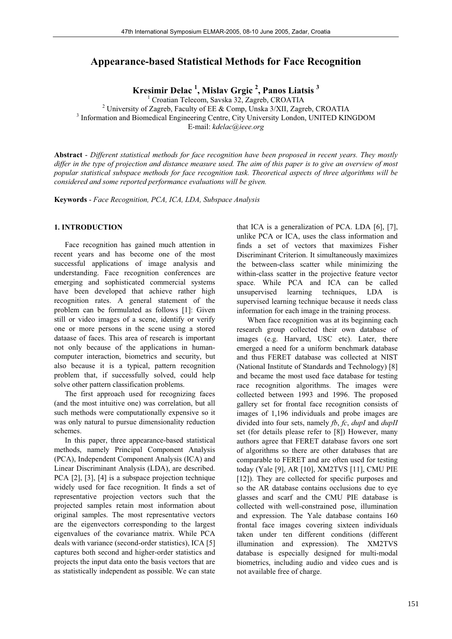# **Appearance-based Statistical Methods for Face Recognition**

**Kresimir Delac 1 , Mislav Grgic <sup>2</sup> , Panos Liatsis 3**

<sup>1</sup> Croatian Telecom, Savska 32, Zagreb, CROATIA<sup>2</sup> University of Zagreb, Foculty of EE & Comp. Uncks <sup>2</sup>/VII, Zagreb

<sup>2</sup> University of Zagreb, Faculty of EE & Comp, Unska 3/XII, Zagreb, CROATIA  $^3$  Information and Biomodiael Engineering Centre, City University London, UNITED KIN

<sup>3</sup> Information and Biomedical Engineering Centre, City University London, UNITED KINGDOM

E-mail: *kdelac@ieee.org*

**Abstract** - *Different statistical methods for face recognition have been proposed in recent years. They mostly differ in the type of projection and distance measure used. The aim of this paper is to give an overview of most popular statistical subspace methods for face recognition task. Theoretical aspects of three algorithms will be considered and some reported performance evaluations will be given.*

**Keywords** - *Face Recognition, PCA, ICA, LDA, Subspace Analysis*

1

## **1. INTRODUCTION**

 Face recognition has gained much attention in recent years and has become one of the most successful applications of image analysis and understanding. Face recognition conferences are emerging and sophisticated commercial systems have been developed that achieve rather high recognition rates. A general statement of the problem can be formulated as follows [1]: Given still or video images of a scene, identify or verify one or more persons in the scene using a stored dataase of faces. This area of research is important not only because of the applications in humancomputer interaction, biometrics and security, but also because it is a typical, pattern recognition problem that, if successfully solved, could help solve other pattern classification problems.

 The first approach used for recognizing faces (and the most intuitive one) was correlation, but all such methods were computationally expensive so it was only natural to pursue dimensionality reduction schemes.

 In this paper, three appearance-based statistical methods, namely Principal Component Analysis (PCA), Independent Component Analysis (ICA) and Linear Discriminant Analysis (LDA), are described. PCA [2], [3], [4] is a subspace projection technique widely used for face recognition. It finds a set of representative projection vectors such that the projected samples retain most information about original samples. The most representative vectors are the eigenvectors corresponding to the largest eigenvalues of the covariance matrix. While PCA deals with variance (second-order statistics), ICA [5] captures both second and higher-order statistics and projects the input data onto the basis vectors that are as statistically independent as possible. We can state that ICA is a generalization of PCA. LDA [6], [7], unlike PCA or ICA, uses the class information and finds a set of vectors that maximizes Fisher Discriminant Criterion. It simultaneously maximizes the between-class scatter while minimizing the within-class scatter in the projective feature vector space. While PCA and ICA can be called unsupervised learning techniques, LDA is supervised learning technique because it needs class information for each image in the training process.

 When face recognition was at its beginning each research group collected their own database of images (e.g. Harvard, USC etc). Later, there emerged a need for a uniform benchmark database and thus FERET database was collected at NIST (National Institute of Standards and Technology) [8] and became the most used face database for testing race recognition algorithms. The images were collected between 1993 and 1996. The proposed gallery set for frontal face recognition consists of images of 1,196 individuals and probe images are divided into four sets, namely *fb*, *fc*, *dupI* and *dupII* set (for details please refer to [8]) However, many authors agree that FERET database favors one sort of algorithms so there are other databases that are comparable to FERET and are often used for testing today (Yale [9], AR [10], XM2TVS [11], CMU PIE [12]). They are collected for specific purposes and so the AR database contains occlusions due to eye glasses and scarf and the CMU PIE database is collected with well-constrained pose, illumination and expression. The Yale database contains 160 frontal face images covering sixteen individuals taken under ten different conditions (different illumination and expression). The XM2TVS database is especially designed for multi-modal biometrics, including audio and video cues and is not available free of charge.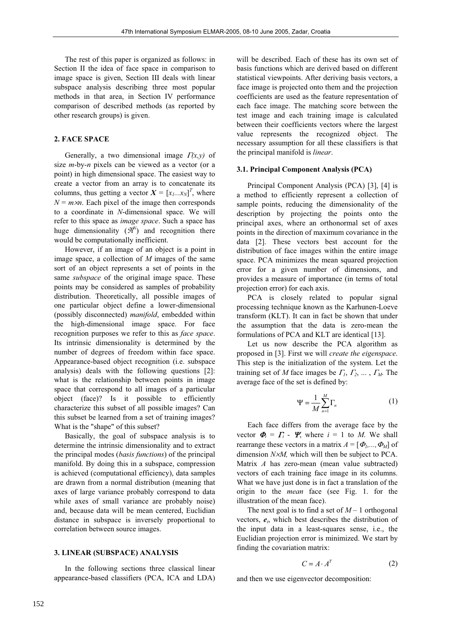The rest of this paper is organized as follows: in Section II the idea of face space in comparison to image space is given, Section III deals with linear subspace analysis describing three most popular methods in that area, in Section IV performance comparison of described methods (as reported by other research groups) is given.

## **2. FACE SPACE**

Generally, a two dimensional image  $T(x,y)$  of size *m*-by-*n* pixels can be viewed as a vector (or a point) in high dimensional space. The easiest way to create a vector from an array is to concatenate its columns, thus getting a vector  $X = [x_1...x_N]^T$ , where  $N = m \times n$ . Each pixel of the image then corresponds to a coordinate in *N*-dimensional space. We will refer to this space as *image space*. Such a space has huge dimensionality  $(\mathcal{H}^N)$  and recognition there would be computationally inefficient.

 However, if an image of an object is a point in image space, a collection of *M* images of the same sort of an object represents a set of points in the same *subspace* of the original image space. These points may be considered as samples of probability distribution. Theoretically, all possible images of one particular object define a lower-dimensional (possibly disconnected) *manifold*, embedded within the high-dimensional image space. For face recognition purposes we refer to this as *face space*. Its intrinsic dimensionality is determined by the number of degrees of freedom within face space. Appearance-based object recognition (i.e. subspace analysis) deals with the following questions [2]: what is the relationship between points in image space that correspond to all images of a particular object (face)? Is it possible to efficiently characterize this subset of all possible images? Can this subset be learned from a set of training images? What is the "shape" of this subset?

 Basically, the goal of subspace analysis is to determine the intrinsic dimensionality and to extract the principal modes (*basis functions*) of the principal manifold. By doing this in a subspace, compression is achieved (computational efficiency), data samples are drawn from a normal distribution (meaning that axes of large variance probably correspond to data while axes of small variance are probably noise) and, because data will be mean centered, Euclidian distance in subspace is inversely proportional to correlation between source images.

#### **3. LINEAR (SUBSPACE) ANALYSIS**

 In the following sections three classical linear appearance-based classifiers (PCA, ICA and LDA)

will be described. Each of these has its own set of basis functions which are derived based on different statistical viewpoints. After deriving basis vectors, a face image is projected onto them and the projection coefficients are used as the feature representation of each face image. The matching score between the test image and each training image is calculated between their coefficients vectors where the largest value represents the recognized object. The necessary assumption for all these classifiers is that the principal manifold is *linear*.

#### **3.1. Principal Component Analysis (PCA)**

 Principal Component Analysis (PCA) [3], [4] is a method to efficiently represent a collection of sample points, reducing the dimensionality of the description by projecting the points onto the principal axes, where an orthonormal set of axes points in the direction of maximum covariance in the data [2]. These vectors best account for the distribution of face images within the entire image space. PCA minimizes the mean squared projection error for a given number of dimensions, and provides a measure of importance (in terms of total projection error) for each axis.

 PCA is closely related to popular signal processing technique known as the Karhunen-Loeve transform (KLT). It can in fact be shown that under the assumption that the data is zero-mean the formulations of PCA and KLT are identical [13].

 Let us now describe the PCA algorithm as proposed in [3]. First we will *create the eigenspace*. This step is the initialization of the system. Let the training set of *M* face images be  $\Gamma_1$ ,  $\Gamma_2$ , ...,  $\Gamma_M$ . The average face of the set is defined by:

$$
\Psi = \frac{1}{M} \sum_{n=1}^{M} \Gamma_n \tag{1}
$$

 Each face differs from the average face by the vector  $\boldsymbol{\Phi}_i = \boldsymbol{\Gamma}_i$  -  $\boldsymbol{\Psi}_i$ , where  $i = 1$  to *M*. We shall rearrange these vectors in a matrix  $A = [\Phi_1, \ldots, \Phi_M]$  of dimension *NxM*, which will then be subject to PCA. Matrix *A* has zero-mean (mean value subtracted) vectors of each training face image in its columns. What we have just done is in fact a translation of the origin to the *mean* face (see Fig. 1. for the illustration of the mean face).

The next goal is to find a set of  $M-1$  orthogonal vectors,  $e_i$ , which best describes the distribution of the input data in a least-squares sense, i.e., the Euclidian projection error is minimized. We start by finding the covariation matrix:

$$
C = A \cdot A^T \tag{2}
$$

and then we use eigenvector decomposition: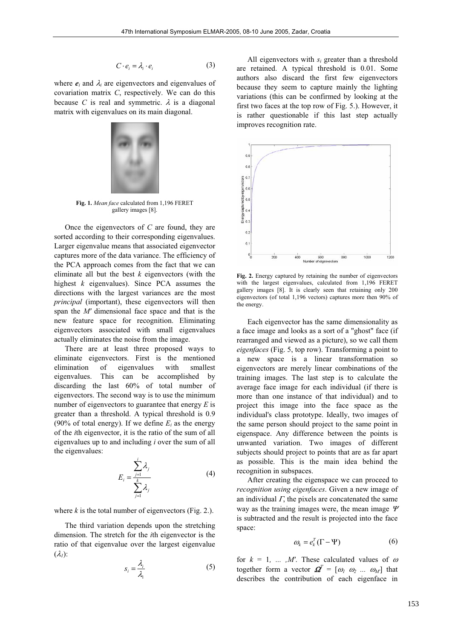$$
C \cdot e_i = \lambda_i \cdot e_i \tag{3}
$$

where  $e_i$  and  $\lambda_i$  are eigenvectors and eigenvalues of covariation matrix *C*, respectively. We can do this because *C* is real and symmetric.  $\lambda$  is a diagonal matrix with eigenvalues on its main diagonal.



**Fig. 1.** *Mean face* calculated from 1,196 FERET gallery images [8].

 Once the eigenvectors of *C* are found, they are sorted according to their corresponding eigenvalues. Larger eigenvalue means that associated eigenvector captures more of the data variance. The efficiency of the PCA approach comes from the fact that we can eliminate all but the best *k* eigenvectors (with the highest *k* eigenvalues). Since PCA assumes the directions with the largest variances are the most *principal* (important), these eigenvectors will then span the *M'* dimensional face space and that is the new feature space for recognition. Eliminating eigenvectors associated with small eigenvalues actually eliminates the noise from the image.

 There are at least three proposed ways to eliminate eigenvectors. First is the mentioned elimination of eigenvalues with smallest eigenvalues. This can be accomplished by discarding the last 60% of total number of eigenvectors. The second way is to use the minimum number of eigenvectors to guarantee that energy *E* is greater than a threshold. A typical threshold is 0.9 (90% of total energy). If we define  $E_i$  as the energy of the *i*th eigenvector, it is the ratio of the sum of all eigenvalues up to and including *i* over the sum of all the eigenvalues:

$$
E_i = \frac{\sum_{j=1}^{i} \lambda_j}{\sum_{j=1}^{k} \lambda_j}
$$
 (4)

where  $k$  is the total number of eigenvectors (Fig. 2.).

 The third variation depends upon the stretching dimension. The stretch for the *i*th eigenvector is the ratio of that eigenvalue over the largest eigenvalue  $(\lambda_i)$ :

$$
S_i = \frac{\lambda_i}{\lambda_1} \tag{5}
$$

 All eigenvectors with *si* greater than a threshold are retained. A typical threshold is 0.01. Some authors also discard the first few eigenvectors because they seem to capture mainly the lighting variations (this can be confirmed by looking at the first two faces at the top row of Fig. 5.). However, it is rather questionable if this last step actually improves recognition rate.



**Fig. 2.** Energy captured by retaining the number of eigenvectors with the largest eigenvalues, calculated from 1,196 FERET gallery images [8]. It is clearly seen that retaining only 200 eigenvectors (of total 1,196 vectors) captures more then 90% of the energy.

 Each eigenvector has the same dimensionality as a face image and looks as a sort of a "ghost" face (if rearranged and viewed as a picture), so we call them *eigenfaces* (Fig. 5, top row). Transforming a point to a new space is a linear transformation so eigenvectors are merely linear combinations of the training images. The last step is to calculate the average face image for each individual (if there is more than one instance of that individual) and to project this image into the face space as the individual's class prototype. Ideally, two images of the same person should project to the same point in eigenspace. Any difference between the points is unwanted variation. Two images of different subjects should project to points that are as far apart as possible. This is the main idea behind the recognition in subspaces.

 After creating the eigenspace we can proceed to *recognition using eigenfaces*. Given a new image of an individual  $\Gamma$ , the pixels are concatenated the same way as the training images were, the mean image  $\Psi$ is subtracted and the result is projected into the face space:

$$
\omega_k = e_k^T (\Gamma - \Psi) \tag{6}
$$

for  $k = 1, \ldots, M'$ . These calculated values of  $\omega$ together form a vector  $\boldsymbol{\Omega}^T = [\omega_1 \ \omega_2 \ ... \ \omega_M]$  that describes the contribution of each eigenface in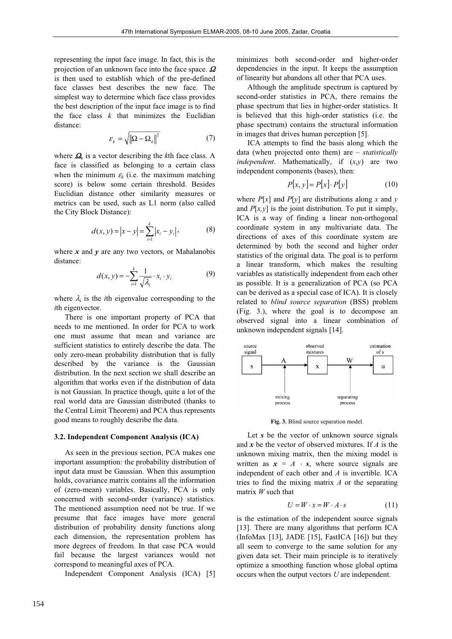representing the input face image. In fact, this is the projection of an unknown face into the face space.  $\Omega$ is then used to establish which of the pre-defined face classes best describes the new face. The simplest way to determine which face class provides the best description of the input face image is to find the face class  $k$  that minimizes the Euclidian distance:

$$
\varepsilon_{k} = \sqrt{\|\Omega - \Omega_{k}\|^{2}} \tag{7}
$$

where  $\Omega_k$  is a vector describing the *k*th face class. A face is classified as belonging to a certain class when the minimum  $\varepsilon_k$  (i.e. the maximum matching score) is below some certain threshold. Besides Euclidian distance other similarity measures or metrics can be used, such as L1 norm (also called the City Block Distance):

$$
d(x, y) = |x - y| = \sum_{i=1}^{k} |x_i - y_i|,
$$
 (8)

where  $x$  and  $y$  are any two vectors, or Mahalanobis distance:

$$
d(x, y) = -\sum_{i=1}^{k} \frac{1}{\sqrt{\lambda_i}} \cdot x_i \cdot y_i \tag{9}
$$

where  $\lambda_i$  is the *i*th eigenvalue corresponding to the *i*th eigenvector.

 There is one important property of PCA that needs to me mentioned. In order for PCA to work one must assume that mean and variance are sufficient statistics to entirely describe the data. The only zero-mean probability distribution that is fully described by the variance is the Gaussian distribution. In the next section we shall describe an algorithm that works even if the distribution of data is not Gaussian. In practice though, quite a lot of the real world data are Gaussian distributed (thanks to the Central Limit Theorem) and PCA thus represents good means to roughly describe the data.

#### **3.2. Independent Component Analysis (ICA)**

 As seen in the previous section, PCA makes one important assumption: the probability distribution of input data must be Gaussian. When this assumption holds, covariance matrix contains all the information of (zero-mean) variables. Basically, PCA is only concerned with second-order (variance) statistics. The mentioned assumption need not be true. If we presume that face images have more general distribution of probability density functions along each dimension, the representation problem has more degrees of freedom. In that case PCA would fail because the largest variances would not correspond to meaningful axes of PCA.

Independent Component Analysis (ICA) [5]

minimizes both second-order and higher-order dependencies in the input. It keeps the assumption of linearity but abandons all other that PCA uses.

 Although the amplitude spectrum is captured by second-order statistics in PCA, there remains the phase spectrum that lies in higher-order statistics. It is believed that this high-order statistics (i.e. the phase spectrum) contains the structural information in images that drives human perception [5].

 ICA attempts to find the basis along which the data (when projected onto them) are – *statistically independent*. Mathematically, if (*x*,*y*) are two independent components (bases), then:

$$
P[x, y] = P[x] \cdot P[y] \tag{10}
$$

where  $P[x]$  and  $P[y]$  are distributions along x and y and  $P[x, y]$  is the joint distribution. To put it simply, ICA is a way of finding a linear non-orthogonal coordinate system in any multivariate data. The directions of axes of this coordinate system are determined by both the second and higher order statistics of the original data. The goal is to perform a linear transform, which makes the resulting variables as statistically independent from each other as possible. It is a generalization of PCA (so PCA can be derived as a special case of ICA). It is closely related to *blind source separation* (BSS) problem (Fig. 3.), where the goal is to decompose an observed signal into a linear combination of unknown independent signals [14].



**Fig. 3.** Blind source separation model.

Let *s* be the vector of unknown source signals and *x* be the vector of observed mixtures. If *A* is the unknown mixing matrix, then the mixing model is written as  $x = A \cdot s$ , where source signals are independent of each other and *A* is invertible. ICA tries to find the mixing matrix *A* or the separating matrix *W* such that

$$
U = W \cdot x = W \cdot A \cdot s \tag{11}
$$

is the estimation of the independent source signals [13]. There are many algorithms that perform ICA (InfoMax [13], JADE [15], FastICA  $[16]$ ) but they all seem to converge to the same solution for any given data set. Their main principle is to iteratively optimize a smoothing function whose global optima occurs when the output vectors *U* are independent.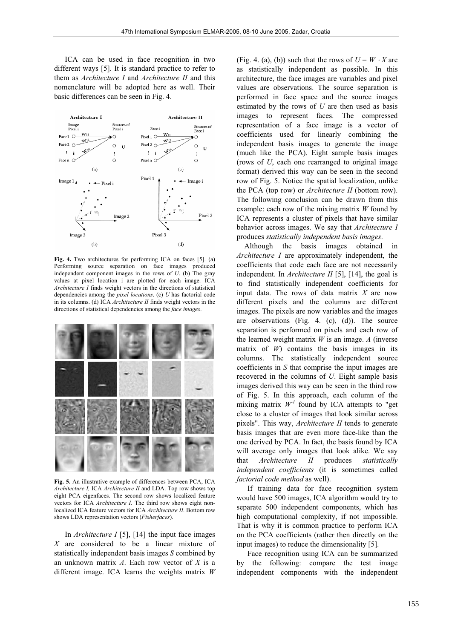ICA can be used in face recognition in two different ways [5]. It is standard practice to refer to them as *Architecture I* and *Architecture II* and this nomenclature will be adopted here as well. Their basic differences can be seen in Fig. 4.



**Fig. 4.** Two architectures for performing ICA on faces [5]. (a) Performing source separation on face images produced independent component images in the rows of *U*. (b) The gray values at pixel location i are plotted for each image. ICA *Architecture I* finds weight vectors in the directions of statistical dependencies among the *pixel locations*. (c) *U* has factorial code in its columns. (d) ICA *Architecture II* finds weight vectors in the directions of statistical dependencies among the *face images*.



**Fig. 5.** An illustrative example of differences between PCA, ICA *Architecture I,* ICA *Architecture II* and LDA. Top row shows top eight PCA eigenfaces. The second row shows localized feature vectors for ICA *Architecture I*. The third row shows eight nonlocalized ICA feature vectors for ICA *Architecture II*. Bottom row shows LDA representation vectors (*Fisherfaces*).

 In *Architecture I* [5], [14] the input face images *X* are considered to be a linear mixture of statistically independent basis images *S* combined by an unknown matrix *A*. Each row vector of *X* is a different image. ICA learns the weights matrix *W* (Fig. 4. (a), (b)) such that the rows of  $U = W \cdot X$  are as statistically independent as possible. In this architecture, the face images are variables and pixel values are observations. The source separation is performed in face space and the source images estimated by the rows of *U* are then used as basis images to represent faces. The compressed representation of a face image is a vector of coefficients used for linearly combining the independent basis images to generate the image (much like the PCA). Eight sample basis images (rows of *U*, each one rearranged to original image format) derived this way can be seen in the second row of Fig. 5. Notice the spatial localization, unlike the PCA (top row) or *Architecture II* (bottom row). The following conclusion can be drawn from this example: each row of the mixing matrix *W* found by ICA represents a cluster of pixels that have similar behavior across images. We say that *Architecture I* produces *statistically independent basis images*.

Although the basis images obtained in *Architecture I* are approximately independent, the coefficients that code each face are not necessarily independent. In *Architecture II* [5], [14], the goal is to find statistically independent coefficients for input data. The rows of data matrix *X* are now different pixels and the columns are different images. The pixels are now variables and the images are observations (Fig. 4. (c), (d)). The source separation is performed on pixels and each row of the learned weight matrix  $W$  is an image.  $A$  (inverse matrix of  $W$ ) contains the basis images in its columns. The statistically independent source coefficients in *S* that comprise the input images are recovered in the columns of *U*. Eight sample basis images derived this way can be seen in the third row of Fig. 5. In this approach, each column of the mixing matrix  $W<sup>T</sup>$  found by ICA attempts to "get close to a cluster of images that look similar across pixels". This way, *Architecture II* tends to generate basis images that are even more face-like than the one derived by PCA. In fact, the basis found by ICA will average only images that look alike. We say that *Architecture II* produces *statistically independent coefficients* (it is sometimes called *factorial code method* as well).

 If training data for face recognition system would have 500 images, ICA algorithm would try to separate 500 independent components, which has high computational complexity, if not impossible. That is why it is common practice to perform ICA on the PCA coefficients (rather then directly on the input images) to reduce the dimensionality [5].

 Face recognition using ICA can be summarized by the following: compare the test image independent components with the independent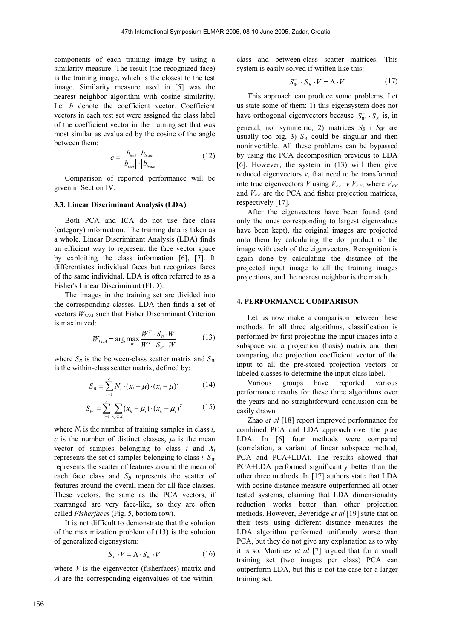components of each training image by using a similarity measure. The result (the recognized face) is the training image, which is the closest to the test image. Similarity measure used in [5] was the nearest neighbor algorithm with cosine similarity. Let *b* denote the coefficient vector. Coefficient vectors in each test set were assigned the class label of the coefficient vector in the training set that was most similar as evaluated by the cosine of the angle between them:

$$
c = \frac{b_{test} \cdot b_{train}}{\|b_{test}\| \cdot \|b_{train}\|} \tag{12}
$$

 Comparison of reported performance will be given in Section IV.

#### **3.3. Linear Discriminant Analysis (LDA)**

 Both PCA and ICA do not use face class (category) information. The training data is taken as a whole. Linear Discriminant Analysis (LDA) finds an efficient way to represent the face vector space by exploiting the class information [6], [7]. It differentiates individual faces but recognizes faces of the same individual. LDA is often referred to as a Fisher's Linear Discriminant (FLD).

 The images in the training set are divided into the corresponding classes. LDA then finds a set of vectors *WLDA* such that Fisher Discriminant Criterion is maximized:

$$
W_{LDA} = \arg\max_{W} \frac{W^T \cdot S_B \cdot W}{W^T \cdot S_W \cdot W}
$$
 (13)

where  $S_B$  is the between-class scatter matrix and  $S_W$ is the within-class scatter matrix, defined by:

$$
S_B = \sum_{i=1}^{c} N_i \cdot (x_i - \mu) \cdot (x_i - \mu)^T
$$
 (14)

$$
S_W = \sum_{i=1}^{c} \sum_{x_k \in X_i} (x_k - \mu_i) \cdot (x_k - \mu_i)^T
$$
 (15)

where  $N_i$  is the number of training samples in class  $i$ , *c* is the number of distinct classes,  $\mu_i$  is the mean vector of samples belonging to class *i* and *Xi* represents the set of samples belonging to class *i*.  $S_W$ represents the scatter of features around the mean of each face class and  $S_B$  represents the scatter of features around the overall mean for all face classes. These vectors, the same as the PCA vectors, if rearranged are very face-like, so they are often called *Fisherfaces* (Fig. 5, bottom row).

 It is not difficult to demonstrate that the solution of the maximization problem of (13) is the solution of generalized eigensystem:

$$
S_B \cdot V = \Lambda \cdot S_W \cdot V \tag{16}
$$

where  $V$  is the eigenvector (fisherfaces) matrix and  $\Lambda$  are the corresponding eigenvalues of the within-

class and between-class scatter matrices. This system is easily solved if written like this:

$$
S_W^{-1} \cdot S_B \cdot V = \Lambda \cdot V \tag{17}
$$

 This approach can produce some problems. Let us state some of them: 1) this eigensystem does not have orthogonal eigenvectors because  $S_W^{-1} \cdot S_B$  is, in general, not symmetric, 2) matrices  $S_B$  i  $S_W$  are usually too big, 3)  $S_W$  could be singular and then noninvertible. All these problems can be bypassed by using the PCA decomposition previous to LDA [6]. However, the system in (13) will then give reduced eigenvectors *v*, that need to be transformed into true eigenvectors *V* using  $V_{FF} = v \cdot V_{EF}$ , where  $V_{EF}$ and  $V_{FF}$  are the PCA and fisher projection matrices, respectively [17].

 After the eigenvectors have been found (and only the ones corresponding to largest eigenvalues have been kept), the original images are projected onto them by calculating the dot product of the image with each of the eigenvectors. Recognition is again done by calculating the distance of the projected input image to all the training images projections, and the nearest neighbor is the match.

#### **4. PERFORMANCE COMPARISON**

 Let us now make a comparison between these methods. In all three algorithms, classification is performed by first projecting the input images into a subspace via a projection (basis) matrix and then comparing the projection coefficient vector of the input to all the pre-stored projection vectors or labeled classes to determine the input class label.

 Various groups have reported various performance results for these three algorithms over the years and no straightforward conclusion can be easily drawn.

 Zhao *et al* [18] report improved performance for combined PCA and LDA approach over the pure LDA. In [6] four methods were compared (correlation, a variant of linear subspace method, PCA and PCA+LDA). The results showed that PCA+LDA performed significantly better than the other three methods. In [17] authors state that LDA with cosine distance measure outperformed all other tested systems, claiming that LDA dimensionality reduction works better than other projection methods. However, Beveridge *et al* [19] state that on their tests using different distance measures the LDA algorithm performed uniformly worse than PCA, but they do not give any explanation as to why it is so. Martinez *et al* [7] argued that for a small training set (two images per class) PCA can outperform LDA, but this is not the case for a larger training set.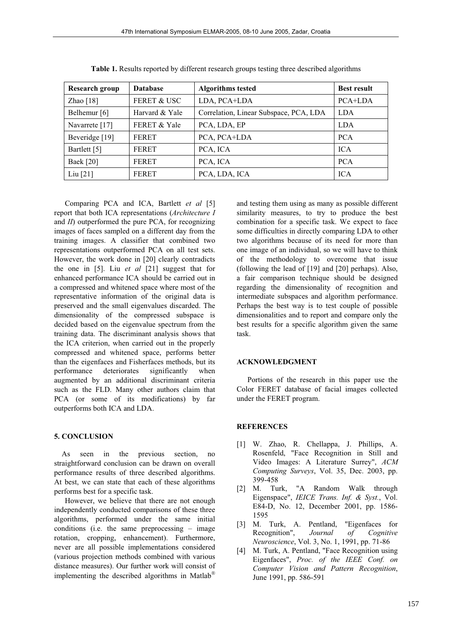| Research group          | <b>Database</b>         | <b>Algorithms tested</b>               | <b>Best result</b> |
|-------------------------|-------------------------|----------------------------------------|--------------------|
| Zhao $[18]$             | <b>FERET &amp; USC</b>  | LDA, PCA+LDA                           | PCA+LDA            |
| Belhemur <sup>[6]</sup> | Harvard & Yale          | Correlation, Linear Subspace, PCA, LDA | <b>LDA</b>         |
| Navarrete $[17]$        | <b>FERET &amp; Yale</b> | PCA, LDA, EP                           | <b>LDA</b>         |
| Beveridge [19]          | <b>FERET</b>            | PCA, PCA+LDA                           | <b>PCA</b>         |
| Bartlett [5]            | <b>FERET</b>            | PCA, ICA                               | <b>ICA</b>         |
| Baek [20]               | <b>FERET</b>            | PCA, ICA                               | <b>PCA</b>         |
| Liu $[21]$              | <b>FERET</b>            | PCA, LDA, ICA                          | <b>ICA</b>         |

**Table 1.** Results reported by different research groups testing three described algorithms

 Comparing PCA and ICA, Bartlett *et al* [5] report that both ICA representations (*Architecture I* and *II*) outperformed the pure PCA, for recognizing images of faces sampled on a different day from the training images. A classifier that combined two representations outperformed PCA on all test sets. However, the work done in [20] clearly contradicts the one in [5]. Liu *et al* [21] suggest that for enhanced performance ICA should be carried out in a compressed and whitened space where most of the representative information of the original data is preserved and the small eigenvalues discarded. The dimensionality of the compressed subspace is decided based on the eigenvalue spectrum from the training data. The discriminant analysis shows that the ICA criterion, when carried out in the properly compressed and whitened space, performs better than the eigenfaces and Fisherfaces methods, but its performance deteriorates significantly when augmented by an additional discriminant criteria such as the FLD. Many other authors claim that PCA (or some of its modifications) by far outperforms both ICA and LDA.

### **5. CONCLUSION**

As seen in the previous section, no straightforward conclusion can be drawn on overall performance results of three described algorithms. At best, we can state that each of these algorithms performs best for a specific task.

 However, we believe that there are not enough independently conducted comparisons of these three algorithms, performed under the same initial conditions (i.e. the same preprocessing – image rotation, cropping, enhancement). Furthermore, never are all possible implementations considered (various projection methods combined with various distance measures). Our further work will consist of implementing the described algorithms in Matlab

and testing them using as many as possible different similarity measures, to try to produce the best combination for a specific task. We expect to face some difficulties in directly comparing LDA to other two algorithms because of its need for more than one image of an individual, so we will have to think of the methodology to overcome that issue (following the lead of [19] and [20] perhaps). Also, a fair comparison technique should be designed regarding the dimensionality of recognition and intermediate subspaces and algorithm performance. Perhaps the best way is to test couple of possible dimensionalities and to report and compare only the best results for a specific algorithm given the same task.

#### **ACKNOWLEDGMENT**

 Portions of the research in this paper use the Color FERET database of facial images collected under the FERET program.

### **REFERENCES**

- [1] W. Zhao, R. Chellappa, J. Phillips, A. Rosenfeld, "Face Recognition in Still and Video Images: A Literature Surrey", *ACM Computing Surveys*, Vol. 35, Dec. 2003, pp. 399-458
- [2] M. Turk, "A Random Walk through Eigenspace", *IEICE Trans. Inf. & Syst.*, Vol. E84-D, No. 12, December 2001, pp. 1586- 1595
- [3] M. Turk, A. Pentland, "Eigenfaces for Recognition", *Journal of Cognitive Neuroscience*, Vol. 3, No. 1, 1991, pp. 71-86
- [4] M. Turk, A. Pentland, "Face Recognition using Eigenfaces", *Proc. of the IEEE Conf. on Computer Vision and Pattern Recognition*, June 1991, pp. 586-591